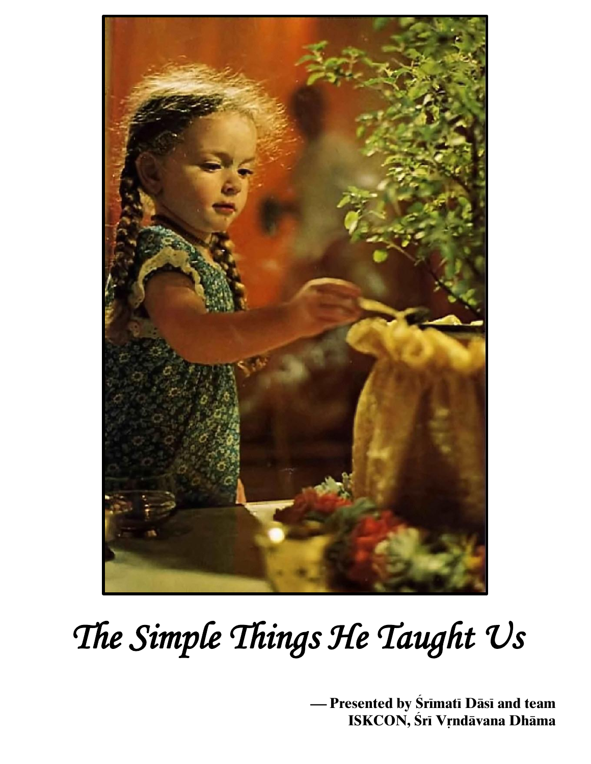

# *The Simple Things He Taught Us*

 $-$  Presented by Śrīmatī Dāsī and team **ISKCON, Śrī Vŗndāvana Dhāma**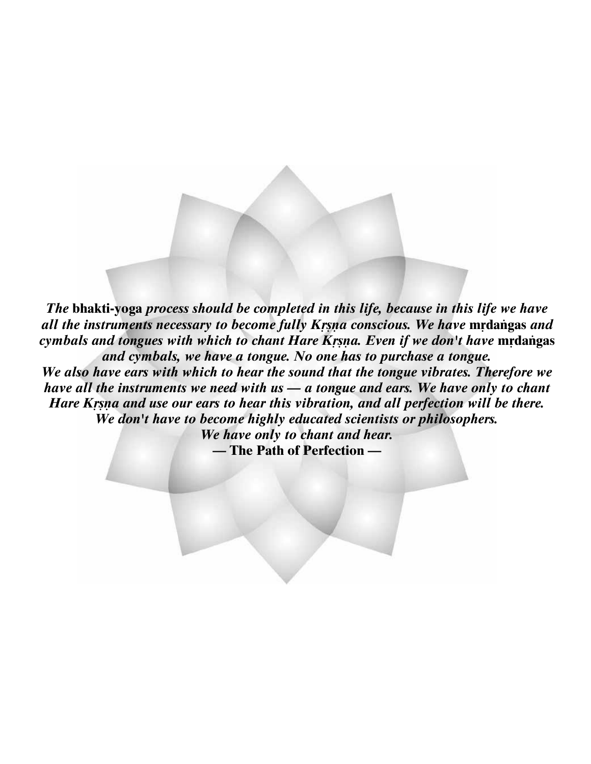*The* **bhakti-yoga** *process should be completed in this life, because in this life we have all the instruments necessary to become fully Krsna conscious. We have mrdangas and cymbals and tongues with which to chant Hare Krsna. Even if we don't have mrdangas and cymbals, we have a tongue. No one has to purchase a tongue.* 

*We also have ears with which to hear the sound that the tongue vibrates. Therefore we have all the instruments we need with us — a tongue and ears. We have only to chant Hare Krsna and use our ears to hear this vibration, and all perfection will be there. We don't have to become highly educated scientists or philosophers.* 

*We have only to chant and hear.* **— The Path of Perfection —**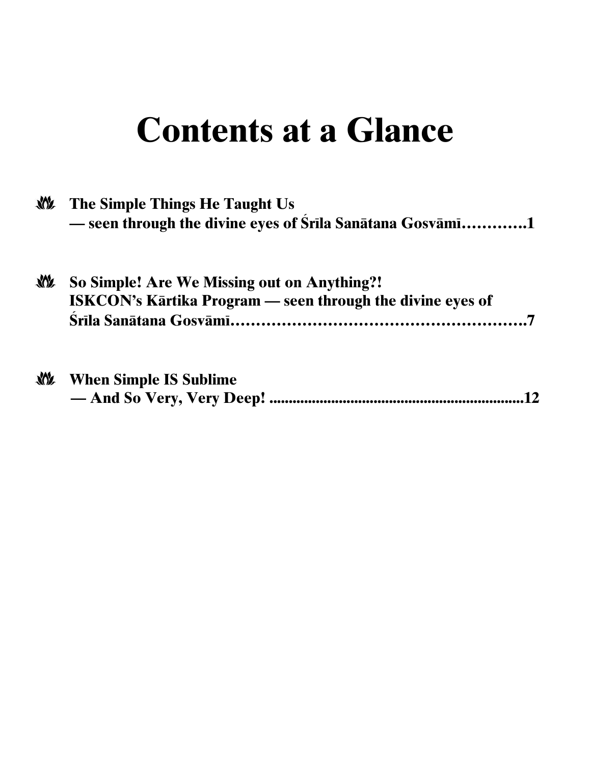# **Contents at a Glance**

| <b>NOW</b> | The Simple Things He Taught Us<br>- seen through the divine eyes of Srila Sanātana Gosvāmi1                      |
|------------|------------------------------------------------------------------------------------------------------------------|
|            | So Simple! Are We Missing out on Anything?!<br><b>ISKCON's Kartika Program — seen through the divine eves of</b> |

| <b>NON</b> | <b>When Simple IS Sublime</b> |
|------------|-------------------------------|
|            |                               |

 $\sim$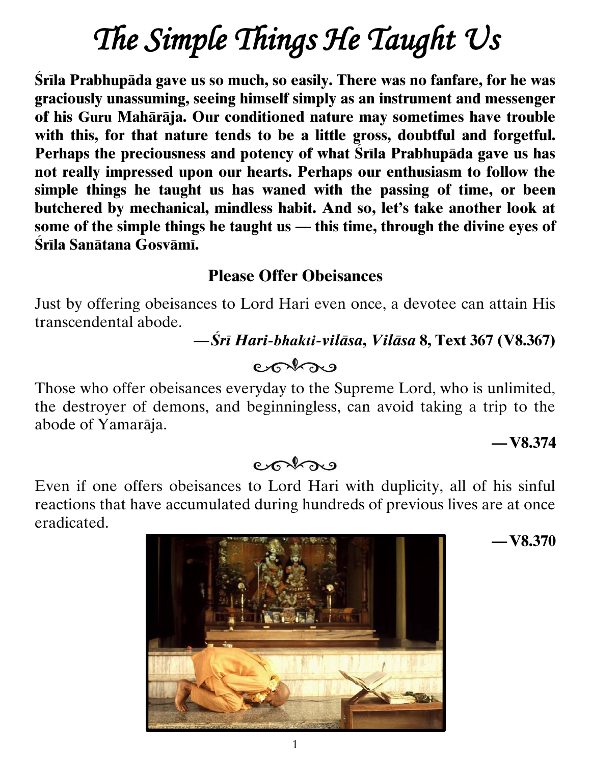# *The Simple Things He Taught Us*

**Srila Prabhupāda gave us so much, so easily. There was no fanfare, for he was graciously unassuming, seeing himself simply as an instrument and messenger of his Guru Mahäräja. Our conditioned nature may sometimes have trouble with this, for that nature tends to be a little gross, doubtful and forgetful.**  Perhaps the preciousness and potency of what Srila Prabhupāda gave us has **not really impressed upon our hearts. Perhaps our enthusiasm to follow the simple things he taught us has waned with the passing of time, or been butchered by mechanical, mindless habit. And so, let's take another look at some of the simple things he taught us — this time, through the divine eyes of Çréla Sanätana Gosvämé.**

#### **Please Offer Obeisances**

Just by offering obeisances to Lord Hari even once, a devotee can attain His transcendental abode.

#### **—***Çré Hari-bhakti-viläsa***,** *Viläsa* **8, Text 367 (V8.367)**

### cohos

Those who offer obeisances everyday to the Supreme Lord, who is unlimited, the destroyer of demons, and beginningless, can avoid taking a trip to the abode of Yamaräja.

#### **—V8.374**

#### $er\rightarrow$

Even if one offers obeisances to Lord Hari with duplicity, all of his sinful reactions that have accumulated during hundreds of previous lives are at once eradicated.



**—V8.370**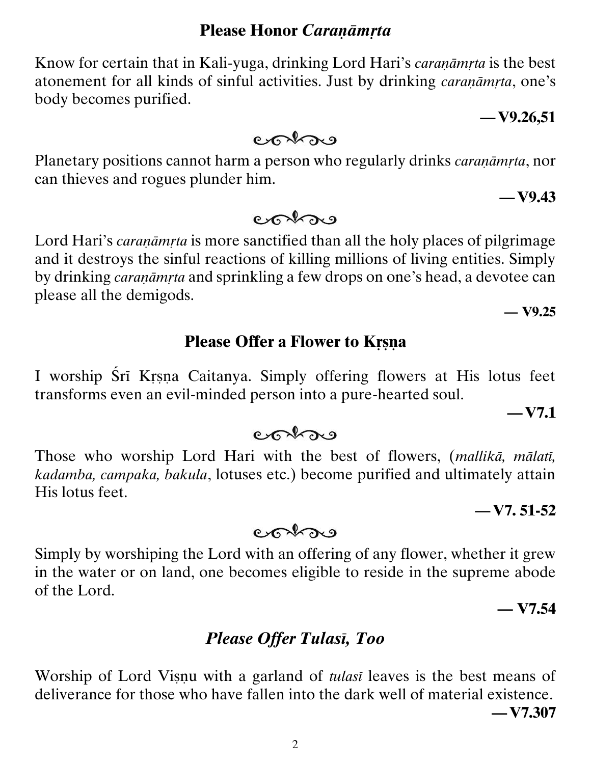#### **Please Honor** *Caranāmrta*

Know for certain that in Kali-yuga, drinking Lord Hari's *caranāmrta* is the best atonement for all kinds of sinful activities. Just by drinking *caranamita*, one's body becomes purified.

Planetary positions cannot harm a person who regularly drinks *caranamita*, nor can thieves and rogues plunder him.

colore

colore

Lord Hari's *caranamita* is more sanctified than all the holy places of pilgrimage and it destroys the sinful reactions of killing millions of living entities. Simply by drinking *caranāmrta* and sprinkling a few drops on one's head, a devotee can

please all the demigods. **— V9.25**

#### **Please Offer a Flower to Krsna**

I worship Śrī Krsņa Caitanya. Simply offering flowers at His lotus feet transforms even an evil-minded person into a pure-hearted soul.

Those who worship Lord Hari with the best of flowers, (*mallikä, mälaté, kadamba, campaka, bakula*, lotuses etc.) become purified and ultimately attain His lotus feet.

 $er\$ 

Simply by worshiping the Lord with an offering of any flower, whether it grew in the water or on land, one becomes eligible to reside in the supreme abode of the Lord.

 $85229$ 

Worship of Lord Visnu with a garland of *tulasi* leaves is the best means of deliverance for those who have fallen into the dark well of material existence. **—V7.307**

**Please Offer Tulasi, Too** 

**— V7.54**

**—V7. 51-52**

**—V7.1**

**—V9.26,51**

**—V9.43**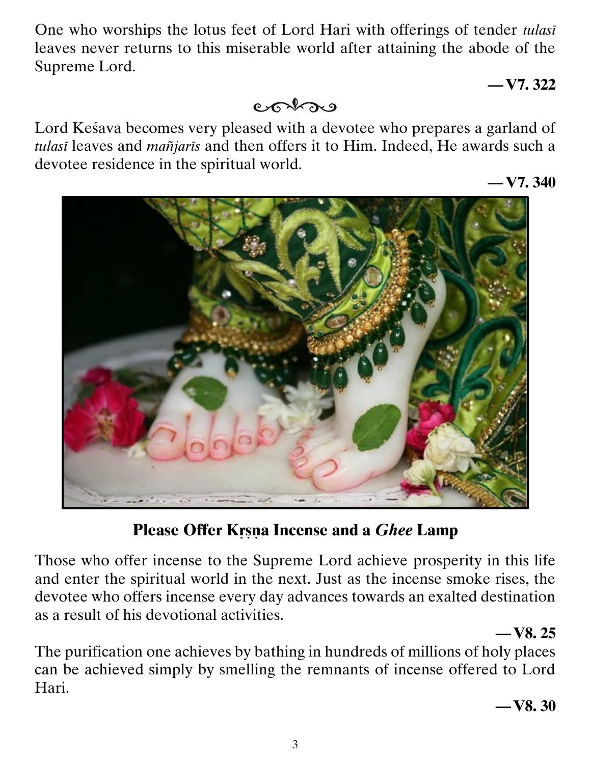One who worships the lotus feet of Lord Hari with offerings of tender *tulasé*  leaves never returns to this miserable world after attaining the abode of the Supreme Lord.

#### **—V7. 322**

conse

Lord Kesava becomes very pleased with a devotee who prepares a garland of *tulasé* leaves and *maïjarés* and then offers it to Him. Indeed, He awards such a devotee residence in the spiritual world.

**—V7. 340**



#### **Please Offer Krsna Incense and a** *Ghee* **Lamp**

Those who offer incense to the Supreme Lord achieve prosperity in this life and enter the spiritual world in the next. Just as the incense smoke rises, the devotee who offers incense every day advances towards an exalted destination as a result of his devotional activities.

#### **—V8. 25**

The purification one achieves by bathing in hundreds of millions of holy places can be achieved simply by smelling the remnants of incense offered to Lord Hari.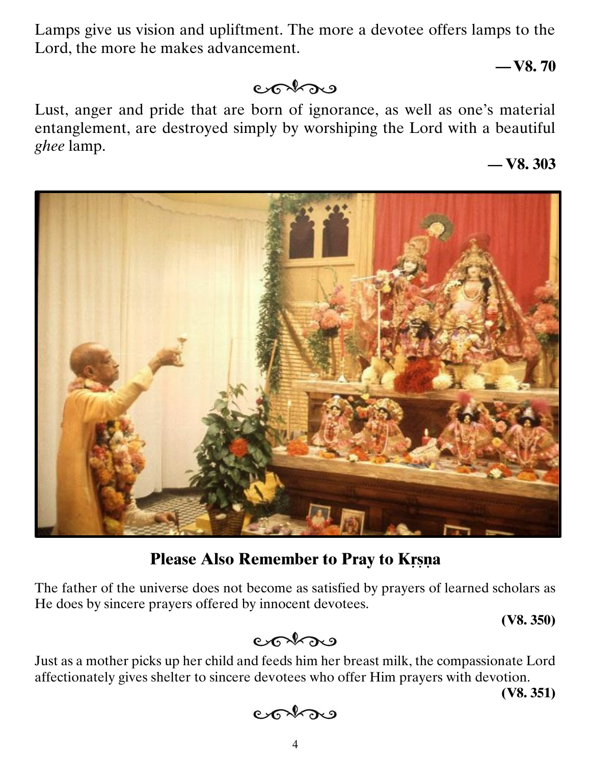Lamps give us vision and upliftment. The more a devotee offers lamps to the Lord, the more he makes advancement.

**—V8. 70**

#### cohos

Lust, anger and pride that are born of ignorance, as well as one's material entanglement, are destroyed simply by worshiping the Lord with a beautiful *ghee* lamp.

**— V8. 303**



#### **Please Also Remember to Pray to Krsna**

The father of the universe does not become as satisfied by prayers of learned scholars as He does by sincere prayers offered by innocent devotees.

**(V8. 350)**

$$
\mathsf{Coh}_{\mathsf{R}}
$$

Just as a mother picks up her child and feeds him her breast milk, the compassionate Lord affectionately gives shelter to sincere devotees who offer Him prayers with devotion.

**(V8. 351)**

$$
\circlearrowright\circlearrowright\circlearrowleft
$$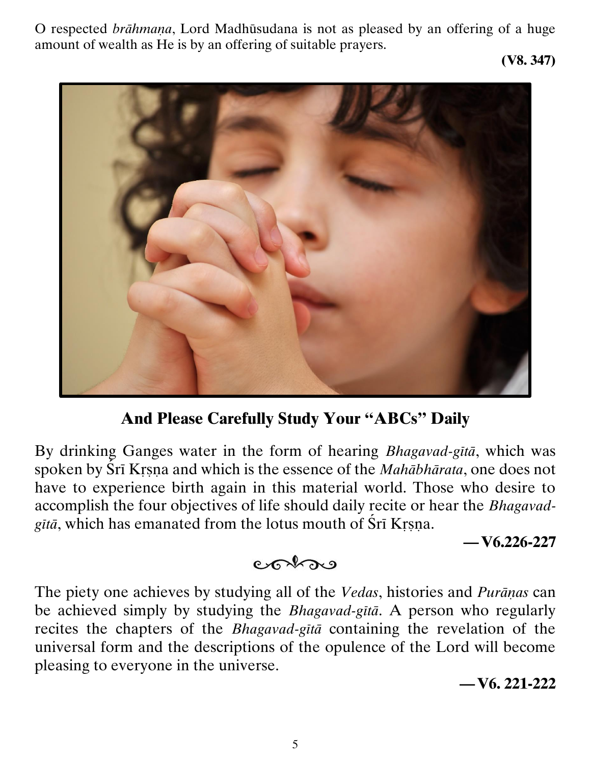O respected *brāhmaņa*, Lord Madhūsudana is not as pleased by an offering of a huge amount of wealth as He is by an offering of suitable prayers.

**(V8. 347)**



**And Please Carefully Study Your "ABCs" Daily**

By drinking Ganges water in the form of hearing *Bhagavad-gétä*, which was spoken by Śrī Krsņa and which is the essence of the *Mahābhārata*, one does not have to experience birth again in this material world. Those who desire to accomplish the four objectives of life should daily recite or hear the *Bhagavadgitā*, which has emanated from the lotus mouth of Sri Krsna.

**—V6.226-227**

#### $er\rightarrow$

The piety one achieves by studying all of the *Vedas*, histories and *Purāņas* can be achieved simply by studying the *Bhagavad-gétä*. A person who regularly recites the chapters of the *Bhagavad-gita* containing the revelation of the universal form and the descriptions of the opulence of the Lord will become pleasing to everyone in the universe.

#### **—V6. 221-222**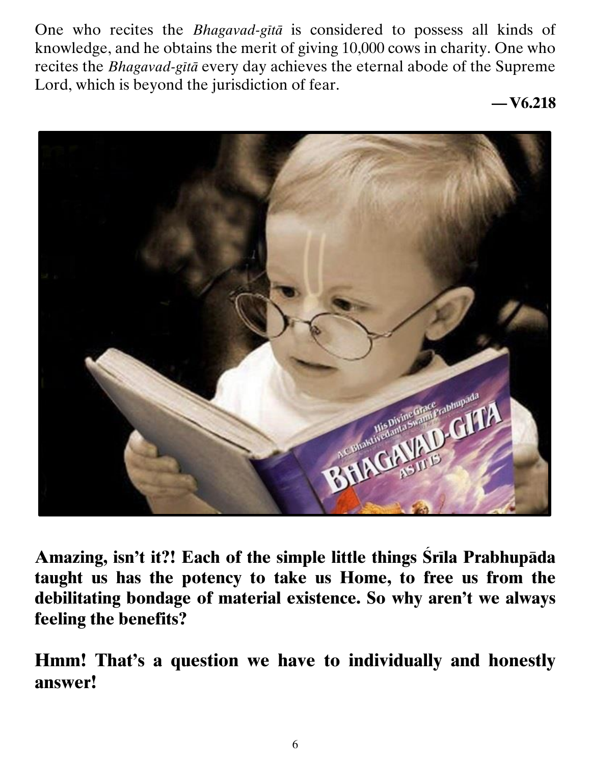One who recites the *Bhagavad-gétä* is considered to possess all kinds of knowledge, and he obtains the merit of giving 10,000 cows in charity. One who recites the *Bhagavad-gétä* every day achieves the eternal abode of the Supreme Lord, which is beyond the jurisdiction of fear.

**—V6.218**



Amazing, isn't it?! Each of the simple little things Srila Prabhupāda **taught us has the potency to take us Home, to free us from the debilitating bondage of material existence. So why aren't we always feeling the benefits?** 

**Hmm! That's a question we have to individually and honestly answer!**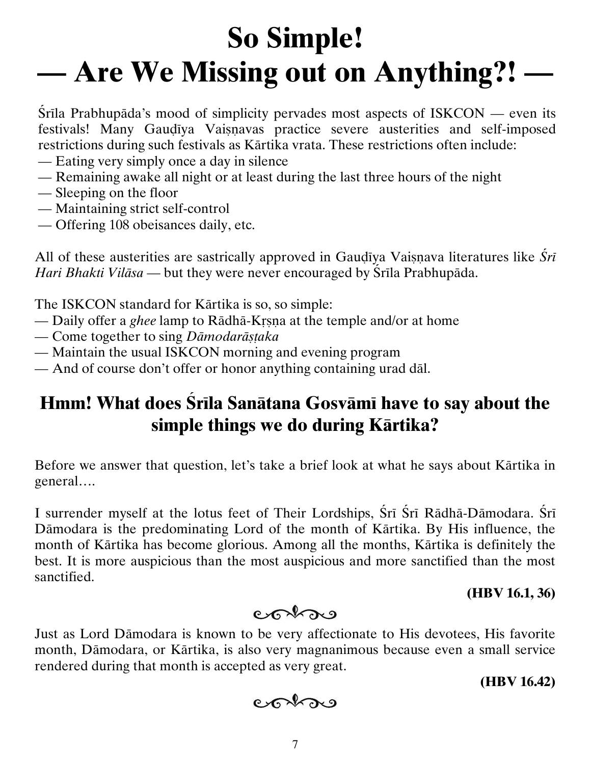# **So Simple! — Are We Missing out on Anything?! —**

 $\overline{\text{Sril}}$  Prabhupāda's mood of simplicity pervades most aspects of ISKCON — even its festivals! Many Gaudiya Vaisnavas practice severe austerities and self-imposed restrictions during such festivals as Kärtika vrata. These restrictions often include:

- Eating very simply once a day in silence
- Remaining awake all night or at least during the last three hours of the night
- Sleeping on the floor
- Maintaining strict self-control
- Offering 108 obeisances daily, etc.

All of these austerities are sastrically approved in Gaudiya Vaisnava literatures like *Sri Hari Bhakti Vilāsa* — but they were never encouraged by Śrīla Prabhupāda.

The ISKCON standard for Kärtika is so, so simple:

- Daily offer a *ghee* lamp to Rādhā-Krsna at the temple and/or at home
- Come together to sing *Dämodaräñöaka*
- Maintain the usual ISKCON morning and evening program
- And of course don't offer or honor anything containing urad däl.

## **Hmm! What does Srila Sanātana Gosvāmi have to say about the simple things we do during Kärtika?**

Before we answer that question, let's take a brief look at what he says about Kärtika in general….

I surrender myself at the lotus feet of Their Lordships, Śrī Śrī Rādhā-Dāmodara. Śrī Dämodara is the predominating Lord of the month of Kärtika. By His influence, the month of Kärtika has become glorious. Among all the months, Kärtika is definitely the best. It is more auspicious than the most auspicious and more sanctified than the most sanctified.

**(HBV 16.1, 36)**

$$
\mathfrak{c}\mathfrak{c}\mathcal{A}\mathfrak{d}\mathfrak{o}
$$

Just as Lord Dämodara is known to be very affectionate to His devotees, His favorite month, Dämodara, or Kärtika, is also very magnanimous because even a small service rendered during that month is accepted as very great.

**(HBV 16.42)**

```
cohos
```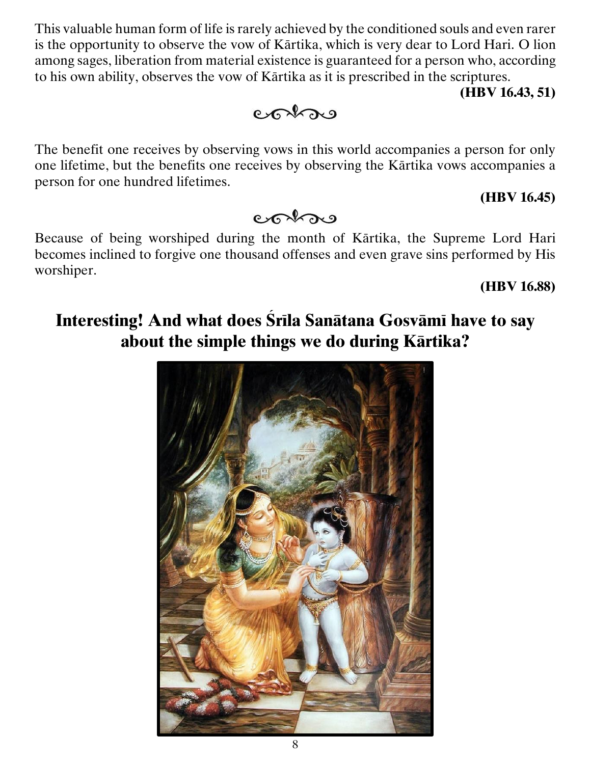This valuable human form of life is rarely achieved by the conditioned souls and even rarer is the opportunity to observe the vow of Kärtika, which is very dear to Lord Hari. O lion among sages, liberation from material existence is guaranteed for a person who, according to his own ability, observes the vow of Kärtika as it is prescribed in the scriptures.

#### **(HBV 16.43, 51)**

#### **(HBV 16.45)**

**(HBV 16.88)**

cohos

person for one hundred lifetimes.

Because of being worshiped during the month of Kärtika, the Supreme Lord Hari becomes inclined to forgive one thousand offenses and even grave sins performed by His worshiper.

### Interesting! And what does Srila Sanātana Gosvāmī have to say **about the simple things we do during Kärtika?**



### entre

The benefit one receives by observing vows in this world accompanies a person for only one lifetime, but the benefits one receives by observing the Kärtika vows accompanies a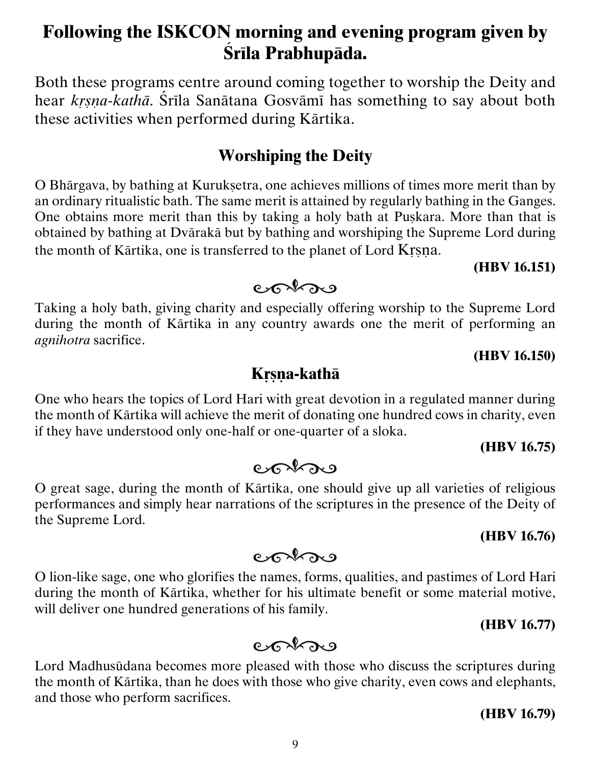### **Following the ISKCON morning and evening program given by Çréla Prabhupäda.**

Both these programs centre around coming together to worship the Deity and hear *krsna-kathā*. Śrīla Sanātana Gosvāmī has something to say about both these activities when performed during Kärtika.

#### **Worshiping the Deity**

O Bhārgava, by bathing at Kurukṣetra, one achieves millions of times more merit than by an ordinary ritualistic bath. The same merit is attained by regularly bathing in the Ganges. One obtains more merit than this by taking a holy bath at Puskara. More than that is obtained by bathing at Dvärakä but by bathing and worshiping the Supreme Lord during the month of Kärtika, one is transferred to the planet of Lord Krsna.

#### **(HBV 16.151)**

Taking a holy bath, giving charity and especially offering worship to the Supreme Lord during the month of Kärtika in any country awards one the merit of performing an *agnihotra* sacrifice.

 $er\$ 

#### **(HBV 16.150)**

#### **Kåñëa-kathä**

One who hears the topics of Lord Hari with great devotion in a regulated manner during the month of Kärtika will achieve the merit of donating one hundred cows in charity, even if they have understood only one-half or one-quarter of a sloka.

#### **(HBV 16.75)**

#### **(HBV 16.76)**

### contro

O great sage, during the month of Kärtika, one should give up all varieties of religious performances and simply hear narrations of the scriptures in the presence of the Deity of

 $er\$ 

the Supreme Lord.

O lion-like sage, one who glorifies the names, forms, qualities, and pastimes of Lord Hari during the month of Kärtika, whether for his ultimate benefit or some material motive, will deliver one hundred generations of his family.

#### **(HBV 16.77)**

#### $85222$

Lord Madhusüdana becomes more pleased with those who discuss the scriptures during the month of Kärtika, than he does with those who give charity, even cows and elephants, and those who perform sacrifices.

**(HBV 16.79)**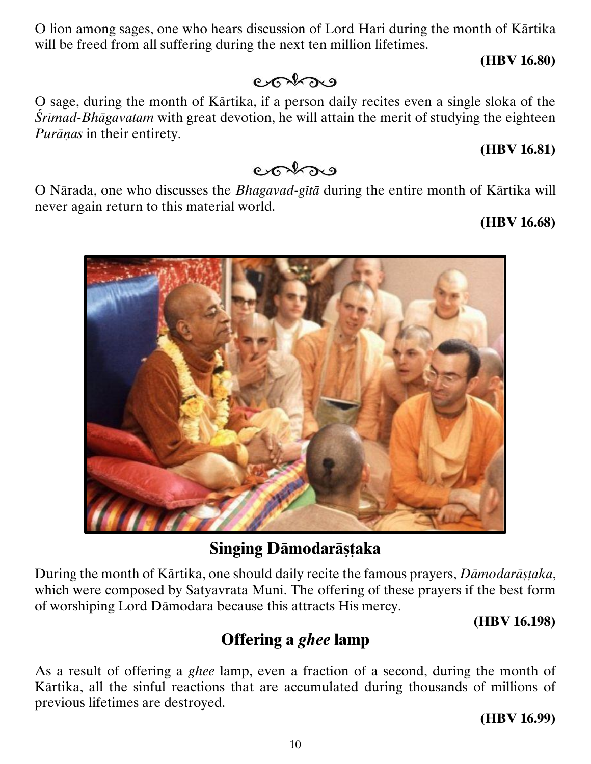O lion among sages, one who hears discussion of Lord Hari during the month of Kärtika will be freed from all suffering during the next ten million lifetimes.

 $er\$ 

#### **(HBV 16.80)**

O sage, during the month of Kärtika, if a person daily recites even a single sloka of the *<u>Śrīmad-Bhāgavatam* with great devotion, he will attain the merit of studying the eighteen</u> *Purānas* in their entirety.

#### **(HBV 16.81)**

#### $85222$

O Närada, one who discusses the *Bhagavad-gétä* during the entire month of Kärtika will never again return to this material world.

#### **(HBV 16.68)**

#### **Singing Dāmodarāstaka**

During the month of Kārtika, one should daily recite the famous prayers, *Dāmodarāstaka*, which were composed by Satyavrata Muni. The offering of these prayers if the best form of worshiping Lord Dämodara because this attracts His mercy.

#### **(HBV 16.198)**

### **Offering a** *ghee* **lamp**

As a result of offering a *ghee* lamp, even a fraction of a second, during the month of Kärtika, all the sinful reactions that are accumulated during thousands of millions of previous lifetimes are destroyed.

#### **(HBV 16.99)**

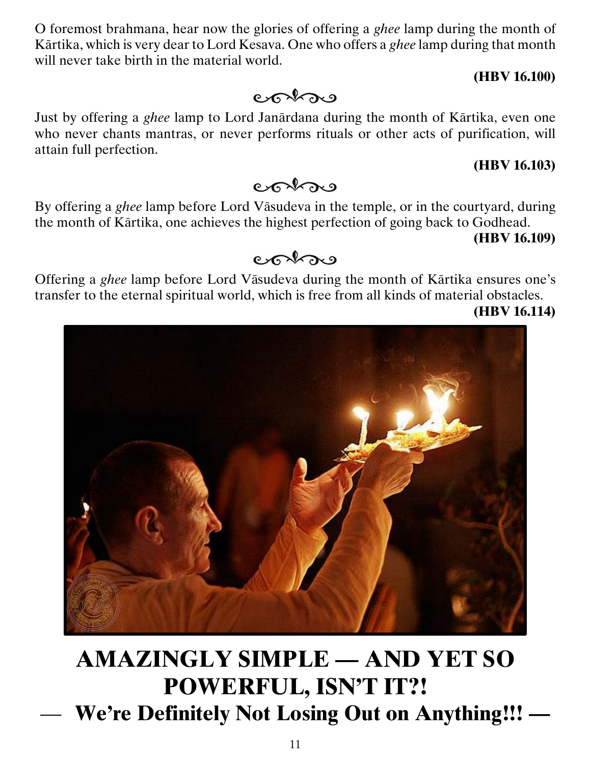O foremost brahmana, hear now the glories of offering a *ghee* lamp during the month of Kärtika, which is very dear to Lord Kesava. One who offers a *ghee* lamp during that month will never take birth in the material world.

#### **(HBV 16.100)**

Just by offering a *ghee* lamp to Lord Janärdana during the month of Kärtika, even one who never chants mantras, or never performs rituals or other acts of purification, will attain full perfection.

#### **(HBV 16.103)**

By offering a *ghee* lamp before Lord Väsudeva in the temple, or in the courtyard, during the month of Kärtika, one achieves the highest perfection of going back to Godhead.

**(HBV 16.109)**

#### $85229$

Offering a *ghee* lamp before Lord Väsudeva during the month of Kärtika ensures one's transfer to the eternal spiritual world, which is free from all kinds of material obstacles.

**(HBV 16.114)**

**AMAZINGLY SIMPLE — AND YET SO POWERFUL, ISN'T IT?!** — **We're Definitely Not Losing Out on Anything!!! —**

#### $er\$

contro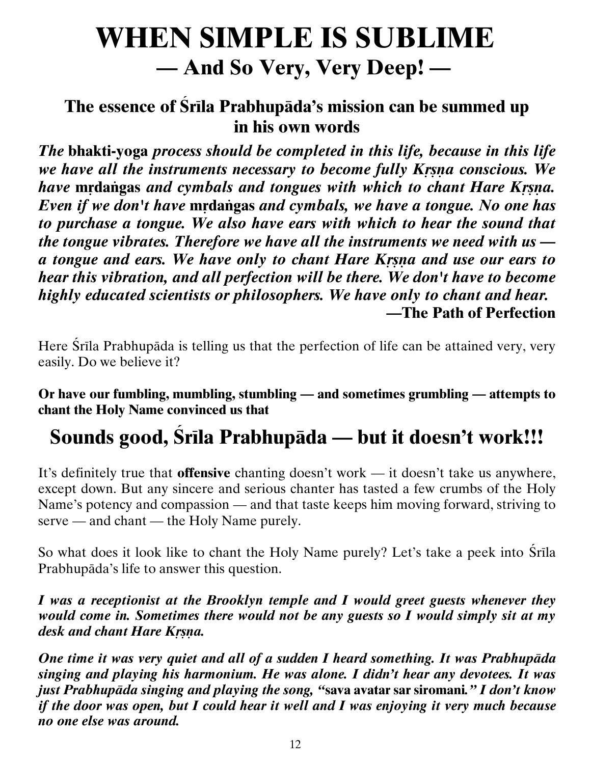## **WHEN SIMPLE IS SUBLIME — And So Very, Very Deep! —**

#### The essence of Srila Prabhupāda's mission can be summed up **in his own words**

*The* **bhakti-yoga** *process should be completed in this life, because in this life we have all the instruments necessary to become fully Krsna conscious. We have mrdangas and cymbals and tongues with which to chant Hare Krsna. Even if we don't have mrdangas and cymbals, we have a tongue. No one has to purchase a tongue. We also have ears with which to hear the sound that the tongue vibrates. Therefore we have all the instruments we need with us a tongue and ears. We have only to chant Hare Kåñëa and use our ears to hear this vibration, and all perfection will be there. We don't have to become highly educated scientists or philosophers. We have only to chant and hear.* **—The Path of Perfection**

Here Srila Prabhupāda is telling us that the perfection of life can be attained very, very easily. Do we believe it?

**Or have our fumbling, mumbling, stumbling — and sometimes grumbling — attempts to chant the Holy Name convinced us that**

## **Sounds good, Çréla Prabhupäda — but it doesn't work!!!**

It's definitely true that **offensive** chanting doesn't work — it doesn't take us anywhere, except down. But any sincere and serious chanter has tasted a few crumbs of the Holy Name's potency and compassion — and that taste keeps him moving forward, striving to serve — and chant — the Holy Name purely.

So what does it look like to chant the Holy Name purely? Let's take a peek into Srila Prabhupäda's life to answer this question.

*I was a receptionist at the Brooklyn temple and I would greet guests whenever they would come in. Sometimes there would not be any guests so I would simply sit at my desk and chant Hare Krsna.* 

*One time it was very quiet and all of a sudden I heard something. It was Prabhupäda singing and playing his harmonium. He was alone. I didn't hear any devotees. It was just Prabhupäda singing and playing the song, "***sava avatar sar siromani***." I don't know if the door was open, but I could hear it well and I was enjoying it very much because no one else was around.*